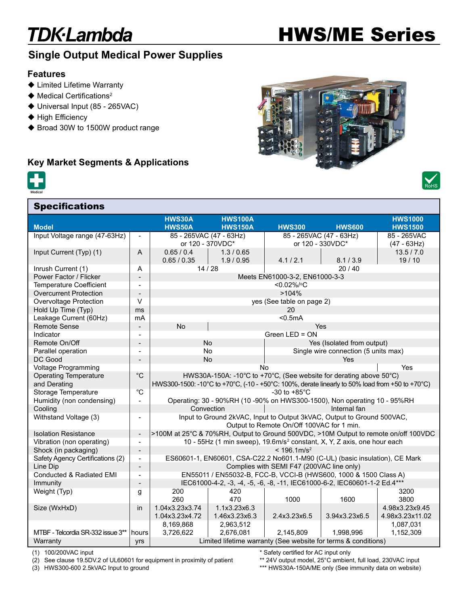### **TDK-Lambda**

# HWS/ME Series

### Single Output Medical Power Supplies

#### Features

- ◆ Limited Lifetime Warranty
- $\blacklozenge$  Medical Certifications<sup>2</sup>

**Specifications** 

- ◆ Universal Input (85 265VAC)
- $\blacklozenge$  High Efficiency
- ◆ Broad 30W to 1500W product range

#### Key Market Segments & Applications







|                                   |                              | <b>HWS30A</b>                                                                                   | <b>HWS100A</b> |                                      |                         | <b>HWS1000</b>  |
|-----------------------------------|------------------------------|-------------------------------------------------------------------------------------------------|----------------|--------------------------------------|-------------------------|-----------------|
| <b>Model</b>                      |                              | <b>HWS50A</b>                                                                                   | <b>HWS150A</b> | <b>HWS300</b>                        | <b>HWS600</b>           | <b>HWS1500</b>  |
| Input Voltage range (47-63Hz)     | $\blacksquare$               | 85 - 265VAC (47 - 63Hz)                                                                         |                |                                      | 85 - 265VAC (47 - 63Hz) | 85 - 265VAC     |
|                                   |                              | or 120 - 370VDC*                                                                                |                | or 120 - 330VDC*                     |                         | $(47 - 63Hz)$   |
| Input Current (Typ) (1)           | A                            | 0.65 / 0.4                                                                                      | 1.3 / 0.65     |                                      |                         | 13.5 / 7.0      |
|                                   |                              | 0.65 / 0.35                                                                                     | 1.9/0.95       | 4.1 / 2.1                            | 8.1 / 3.9               | 19/10           |
| Inrush Current (1)                | A                            | 14/28                                                                                           |                | 20/40                                |                         |                 |
| Power Factor / Flicker            |                              | Meets EN61000-3-2, EN61000-3-3                                                                  |                |                                      |                         |                 |
| <b>Temperature Coefficient</b>    | $\blacksquare$               | <0.02%/°C                                                                                       |                |                                      |                         |                 |
| <b>Overcurrent Protection</b>     | $\overline{\phantom{a}}$     | >104%                                                                                           |                |                                      |                         |                 |
| Overvoltage Protection            | V                            | yes (See table on page 2)                                                                       |                |                                      |                         |                 |
| Hold Up Time (Typ)                | ms                           | 20                                                                                              |                |                                      |                         |                 |
| Leakage Current (60Hz)            | mA                           |                                                                                                 |                | $0.5mA$                              |                         |                 |
| <b>Remote Sense</b>               | $\overline{\phantom{a}}$     | <b>No</b><br>Yes                                                                                |                |                                      |                         |                 |
| Indicator                         | $\blacksquare$               | Green LED = ON                                                                                  |                |                                      |                         |                 |
| Remote On/Off                     | $\overline{\phantom{0}}$     | <b>No</b>                                                                                       |                | Yes (Isolated from output)           |                         |                 |
| Parallel operation                | $\overline{\phantom{a}}$     | No                                                                                              |                | Single wire connection (5 units max) |                         |                 |
| DC Good                           |                              | No                                                                                              |                | Yes                                  |                         |                 |
| <b>Voltage Programming</b>        |                              |                                                                                                 |                | <b>No</b>                            |                         | Yes             |
| <b>Operating Temperature</b>      | $^{\circ}C$                  | HWS30A-150A: -10°C to +70°C, (See website for derating above 50°C)                              |                |                                      |                         |                 |
| and Derating                      |                              | HWS300-1500: -10°C to +70°C, (-10 - +50°C: 100%, derate linearly to 50% load from +50 to +70°C) |                |                                      |                         |                 |
| Storage Temperature               | $^{\circ}C$                  | -30 to $+85^{\circ}$ C                                                                          |                |                                      |                         |                 |
| Humidity (non condensing)         | $\blacksquare$               | Operating: 30 - 90%RH (10 -90% on HWS300-1500), Non operating 10 - 95%RH                        |                |                                      |                         |                 |
| Cooling                           |                              | Convection<br>Internal fan                                                                      |                |                                      |                         |                 |
| Withstand Voltage (3)             | $\qquad \qquad \blacksquare$ | Input to Ground 2kVAC, Input to Output 3kVAC, Output to Ground 500VAC,                          |                |                                      |                         |                 |
|                                   |                              | Output to Remote On/Off 100VAC for 1 min.                                                       |                |                                      |                         |                 |
| <b>Isolation Resistance</b>       | $\overline{\phantom{a}}$     | >100M at 25°C & 70%RH, Output to Ground 500VDC, >10M Output to remote on/off 100VDC             |                |                                      |                         |                 |
| Vibration (non operating)         | $\overline{\phantom{a}}$     | 10 - 55Hz (1 min sweep), 19.6m/s <sup>2</sup> constant, X, Y, Z axis, one hour each             |                |                                      |                         |                 |
| Shock (in packaging)              | $\overline{\phantom{a}}$     | $< 196.1$ m/s <sup>2</sup>                                                                      |                |                                      |                         |                 |
| Safety Agency Certifications (2)  | $\blacksquare$               | ES60601-1, EN60601, CSA-C22.2 No601.1-M90 (C-UL) (basic insulation), CE Mark                    |                |                                      |                         |                 |
| Line Dip                          | $\overline{\phantom{a}}$     | Complies with SEMI F47 (200VAC line only)                                                       |                |                                      |                         |                 |
| Conducted & Radiated EMI          | $\blacksquare$               | EN55011 / EN55032-B, FCC-B, VCCI-B (HWS600, 1000 & 1500 Class A)                                |                |                                      |                         |                 |
| Immunity                          | $\qquad \qquad \blacksquare$ | IEC61000-4-2, -3, -4, -5, -6, -8, -11, IEC61000-6-2, IEC60601-1-2 Ed.4***                       |                |                                      |                         |                 |
| Weight (Typ)                      | g                            | 200                                                                                             | 420            |                                      |                         | 3200            |
|                                   |                              | 260                                                                                             | 470            | 1000                                 | 1600                    | 3800            |
| Size (WxHxD)                      | in                           | 1.04x3.23x3.74                                                                                  | 1.1x3.23x6.3   |                                      |                         | 4.98x3.23x9.45  |
|                                   |                              | 1.04x3.23x4.72                                                                                  | 1.46x3.23x6.3  | 2.4x3.23x6.5                         | 3.94x3.23x6.5           | 4.98x3.23x11.02 |
|                                   |                              | 8,169,868                                                                                       | 2,963,512      |                                      |                         | 1,087,031       |
| MTBF - Telcordia SR-332 issue 3** | hours                        | 3,726,622                                                                                       | 2,676,081      | 2,145,809                            | 1,998,996               | 1,152,309       |
| Warranty                          | yrs                          | Limited lifetime warranty (See website for terms & conditions)                                  |                |                                      |                         |                 |
|                                   |                              |                                                                                                 |                |                                      |                         |                 |

(1) 100/200VAC input

(2) See clause 19.5DV.2 of UL60601 for equipment in proximity of patient

(3) HWS300-600 2.5kVAC Input to ground

\* Safety certified for AC input only

\*\* 24V output model, 25°C ambient, full load, 230VAC input \*\*\* HWS30A-150A/ME only (See immunity data on website)